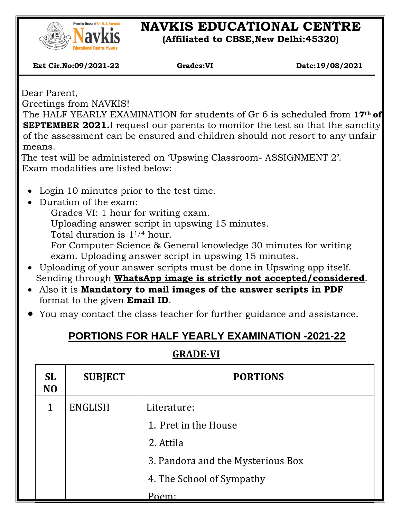

## **NAVKIS EDUCATIONAL CENTRE**

**(Affiliated to CBSE,New Delhi:45320)**

 **Ext Cir.No:09/2021-22 Grades:VI Date:19/08/2021**

Dear Parent,

 $\overline{\phantom{a}}$ 

Greetings from NAVKIS!

The HALF YEARLY EXAMINATION for students of Gr 6 is scheduled from **17th of SEPTEMBER 2021.**I request our parents to monitor the test so that the sanctity of the assessment can be ensured and children should not resort to any unfair means.

The test will be administered on 'Upswing Classroom- ASSIGNMENT 2'. Exam modalities are listed below:

- Login 10 minutes prior to the test time.
- Duration of the exam:

Grades VI: 1 hour for writing exam.

Uploading answer script in upswing 15 minutes.

Total duration is 11/4 hour.

For Computer Science & General knowledge 30 minutes for writing exam. Uploading answer script in upswing 15 minutes.

- Uploading of your answer scripts must be done in Upswing app itself. Sending through **WhatsApp image is strictly not accepted/considered**.
- Also it is **Mandatory to mail images of the answer scripts in PDF** format to the given **Email ID**.
- You may contact the class teacher for further guidance and assistance.

## **PORTIONS FOR HALF YEARLY EXAMINATION -2021-22**

## **GRADE-VI**

| <b>SL</b><br>N <sub>O</sub> | <b>SUBJECT</b> | <b>PORTIONS</b>                   |  |
|-----------------------------|----------------|-----------------------------------|--|
| 1                           | <b>ENGLISH</b> | Literature:                       |  |
|                             |                | 1. Pret in the House              |  |
|                             |                | 2. Attila                         |  |
|                             |                | 3. Pandora and the Mysterious Box |  |
|                             |                | 4. The School of Sympathy         |  |
|                             |                | Poem:                             |  |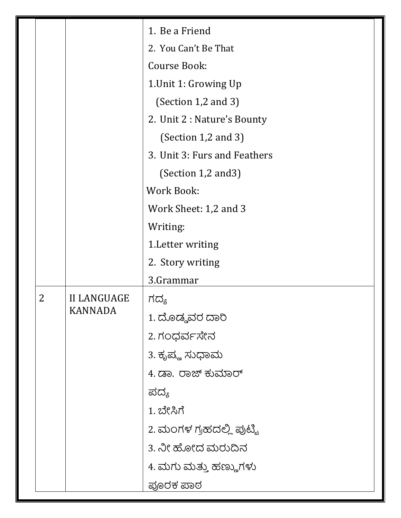| 1. Be a Friend<br>2. You Can't Be That<br><b>Course Book:</b><br>1. Unit 1: Growing Up<br>(Section 1,2 and 3)<br>2. Unit 2 : Nature's Bounty<br>(Section $1,2$ and $3$ )<br>3. Unit 3: Furs and Feathers<br>(Section 1,2 and 3)<br><b>Work Book:</b><br>Work Sheet: 1,2 and 3<br>Writing:<br>1. Letter writing<br>2. Story writing<br>3.Grammar<br>2<br><b>II LANGUAGE</b><br>ಗದ್ಯ<br><b>KANNADA</b><br>1. ದೊಡ್ಡವರ ದಾರಿ<br>2.ಗಂಧರ್ವಸೇನ<br>3. ಕೃಪ್ಣ ಸುಧಾಮ<br>4. ಡಾ. ರಾಜ್ ಕುಮಾರ್<br>ಪದ್ಯ<br>1. ಬೇಸಿಗೆ<br>2. ಮಂಗಳ ಗ್ರಹದಲ್ಲಿ ಪುಟ್ಟಿ<br>3. ನೀ ಹೋದ ಮರುದಿನ<br>4. ಮಗು ಮತ್ತು ಹಣ್ಣುಗಳು<br>ಪೂರಕ ಪಾಠ |  |  |  |
|------------------------------------------------------------------------------------------------------------------------------------------------------------------------------------------------------------------------------------------------------------------------------------------------------------------------------------------------------------------------------------------------------------------------------------------------------------------------------------------------------------------------------------------------------------------------------------------|--|--|--|
|                                                                                                                                                                                                                                                                                                                                                                                                                                                                                                                                                                                          |  |  |  |
|                                                                                                                                                                                                                                                                                                                                                                                                                                                                                                                                                                                          |  |  |  |
|                                                                                                                                                                                                                                                                                                                                                                                                                                                                                                                                                                                          |  |  |  |
|                                                                                                                                                                                                                                                                                                                                                                                                                                                                                                                                                                                          |  |  |  |
|                                                                                                                                                                                                                                                                                                                                                                                                                                                                                                                                                                                          |  |  |  |
|                                                                                                                                                                                                                                                                                                                                                                                                                                                                                                                                                                                          |  |  |  |
|                                                                                                                                                                                                                                                                                                                                                                                                                                                                                                                                                                                          |  |  |  |
|                                                                                                                                                                                                                                                                                                                                                                                                                                                                                                                                                                                          |  |  |  |
|                                                                                                                                                                                                                                                                                                                                                                                                                                                                                                                                                                                          |  |  |  |
|                                                                                                                                                                                                                                                                                                                                                                                                                                                                                                                                                                                          |  |  |  |
|                                                                                                                                                                                                                                                                                                                                                                                                                                                                                                                                                                                          |  |  |  |
|                                                                                                                                                                                                                                                                                                                                                                                                                                                                                                                                                                                          |  |  |  |
|                                                                                                                                                                                                                                                                                                                                                                                                                                                                                                                                                                                          |  |  |  |
|                                                                                                                                                                                                                                                                                                                                                                                                                                                                                                                                                                                          |  |  |  |
|                                                                                                                                                                                                                                                                                                                                                                                                                                                                                                                                                                                          |  |  |  |
|                                                                                                                                                                                                                                                                                                                                                                                                                                                                                                                                                                                          |  |  |  |
|                                                                                                                                                                                                                                                                                                                                                                                                                                                                                                                                                                                          |  |  |  |
|                                                                                                                                                                                                                                                                                                                                                                                                                                                                                                                                                                                          |  |  |  |
|                                                                                                                                                                                                                                                                                                                                                                                                                                                                                                                                                                                          |  |  |  |
|                                                                                                                                                                                                                                                                                                                                                                                                                                                                                                                                                                                          |  |  |  |
|                                                                                                                                                                                                                                                                                                                                                                                                                                                                                                                                                                                          |  |  |  |
|                                                                                                                                                                                                                                                                                                                                                                                                                                                                                                                                                                                          |  |  |  |
|                                                                                                                                                                                                                                                                                                                                                                                                                                                                                                                                                                                          |  |  |  |
|                                                                                                                                                                                                                                                                                                                                                                                                                                                                                                                                                                                          |  |  |  |
|                                                                                                                                                                                                                                                                                                                                                                                                                                                                                                                                                                                          |  |  |  |
|                                                                                                                                                                                                                                                                                                                                                                                                                                                                                                                                                                                          |  |  |  |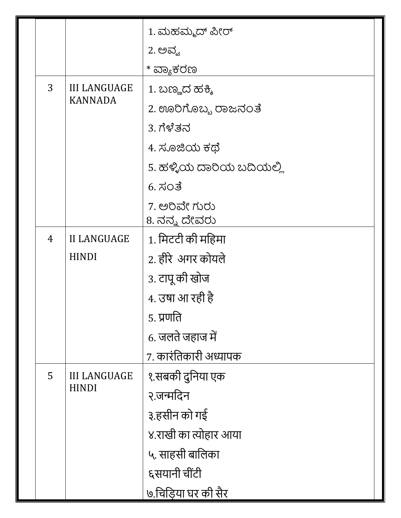|  |                          |                     | 1. ಮಹಮ್ಮದ್ ಪೀರ್          |  |  |
|--|--------------------------|---------------------|--------------------------|--|--|
|  |                          |                     | 2. ಅವ್ವ                  |  |  |
|  |                          |                     | * ವ್ಯಾಕರಣ                |  |  |
|  | 3<br><b>III LANGUAGE</b> |                     | 1. ಬಣ್ಣದ ಹಕ್ಕಿ           |  |  |
|  |                          | <b>KANNADA</b>      | 2. ಊರಿಗೊಬ್ಬ ರಾಜನಂತೆ      |  |  |
|  |                          |                     | 3. ಗೆಳೆತನ                |  |  |
|  |                          |                     | 4. ಸೂಜಿಯ ಕಥೆ             |  |  |
|  |                          |                     | 5. ಹಳ್ಳಿಯ ದಾರಿಯ ಬದಿಯಲ್ಲಿ |  |  |
|  |                          |                     | 6.7703                   |  |  |
|  |                          |                     | 7. ಅರಿವೇ ಗುರು            |  |  |
|  |                          |                     | 8. ನನ್ನ ದೇವರು            |  |  |
|  | $\overline{4}$           | <b>II LANGUAGE</b>  | 1. मिटटी की महिमा        |  |  |
|  |                          | <b>HINDI</b>        | 2. हीरे अगर कोयले        |  |  |
|  |                          |                     | 3. टापू की खोज           |  |  |
|  |                          |                     | 4. उषा आ रही है          |  |  |
|  |                          |                     | ५. प्रणति                |  |  |
|  |                          |                     | 6. जलते जहाज में         |  |  |
|  |                          |                     | ७. कारंतिकारी अध्यापक    |  |  |
|  | 5                        | <b>III LANGUAGE</b> | १.सबकी दुनिया एक         |  |  |
|  |                          | <b>HINDI</b>        | २.जन्मदिन                |  |  |
|  |                          |                     | ३.हसीन को गई             |  |  |
|  |                          |                     | ४.राखी का त्योहार आया    |  |  |
|  |                          |                     | ५. साहसी बालिका          |  |  |
|  |                          |                     | ६सयानी चींटी             |  |  |
|  |                          |                     | ७.चिडिया घर की सैर       |  |  |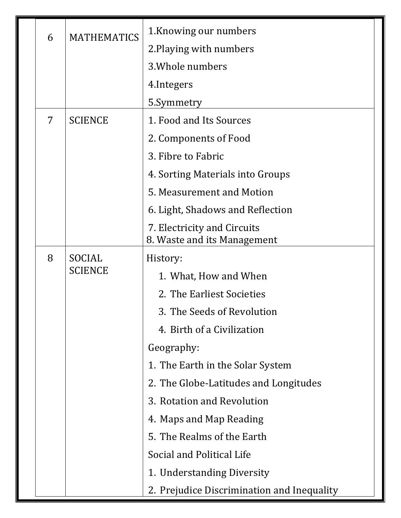| 6 | <b>MATHEMATICS</b>       | 1. Knowing our numbers                                     |  |
|---|--------------------------|------------------------------------------------------------|--|
|   |                          | 2. Playing with numbers                                    |  |
|   |                          | 3. Whole numbers                                           |  |
|   |                          | 4. Integers                                                |  |
|   |                          | 5.Symmetry                                                 |  |
| 7 | <b>SCIENCE</b>           | 1. Food and Its Sources                                    |  |
|   |                          | 2. Components of Food                                      |  |
|   |                          | 3. Fibre to Fabric                                         |  |
|   |                          | 4. Sorting Materials into Groups                           |  |
|   |                          | 5. Measurement and Motion                                  |  |
|   |                          | 6. Light, Shadows and Reflection                           |  |
|   |                          | 7. Electricity and Circuits<br>8. Waste and its Management |  |
| 8 | SOCIAL<br><b>SCIENCE</b> | History:                                                   |  |
|   |                          | 1. What, How and When                                      |  |
|   |                          | 2. The Earliest Societies                                  |  |
|   |                          | 3. The Seeds of Revolution                                 |  |
|   |                          | 4. Birth of a Civilization                                 |  |
|   |                          | Geography:                                                 |  |
|   |                          | 1. The Earth in the Solar System                           |  |
|   |                          | 2. The Globe-Latitudes and Longitudes                      |  |
|   |                          | 3. Rotation and Revolution                                 |  |
|   |                          | 4. Maps and Map Reading                                    |  |
|   |                          | 5. The Realms of the Earth                                 |  |
|   |                          | Social and Political Life                                  |  |
|   |                          | 1. Understanding Diversity                                 |  |
|   |                          | 2. Prejudice Discrimination and Inequality                 |  |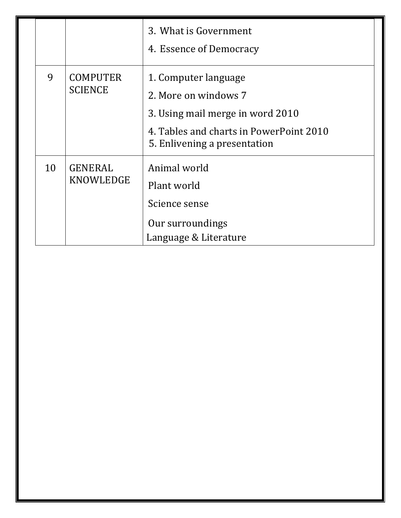|    |                                   | 3. What is Government<br>4. Essence of Democracy                                                                                                            |  |
|----|-----------------------------------|-------------------------------------------------------------------------------------------------------------------------------------------------------------|--|
| 9  | <b>COMPUTER</b><br><b>SCIENCE</b> | 1. Computer language<br>2. More on windows 7<br>3. Using mail merge in word 2010<br>4. Tables and charts in PowerPoint 2010<br>5. Enlivening a presentation |  |
| 10 | <b>GENERAL</b><br>KNOWLEDGE       | Animal world<br>Plant world<br>Science sense<br>Our surroundings<br>Language & Literature                                                                   |  |